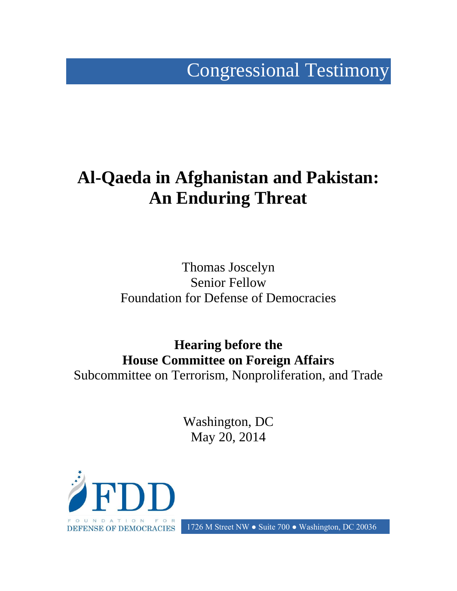Congressional Testimony

## **Al-Qaeda in Afghanistan and Pakistan: An Enduring Threat**

Thomas Joscelyn Senior Fellow Foundation for Defense of Democracies

**Hearing before the House Committee on Foreign Affairs** Subcommittee on Terrorism, Nonproliferation, and Trade

> Washington, DC May 20, 2014



DEFENSE OF DEMOCRACIES 1726 M Street NW ● Suite 700 ● Washington, DC 20036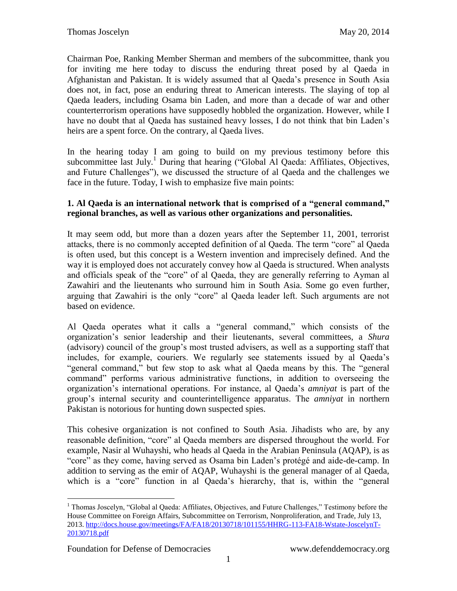Chairman Poe, Ranking Member Sherman and members of the subcommittee, thank you for inviting me here today to discuss the enduring threat posed by al Qaeda in Afghanistan and Pakistan. It is widely assumed that al Qaeda's presence in South Asia does not, in fact, pose an enduring threat to American interests. The slaying of top al Qaeda leaders, including Osama bin Laden, and more than a decade of war and other counterterrorism operations have supposedly hobbled the organization. However, while I have no doubt that al Qaeda has sustained heavy losses, I do not think that bin Laden's heirs are a spent force. On the contrary, al Qaeda lives.

In the hearing today I am going to build on my previous testimony before this subcommittee last July.<sup>1</sup> During that hearing ("Global Al Qaeda: Affiliates, Objectives, and Future Challenges"), we discussed the structure of al Qaeda and the challenges we face in the future. Today, I wish to emphasize five main points:

## **1. Al Qaeda is an international network that is comprised of a "general command," regional branches, as well as various other organizations and personalities.**

It may seem odd, but more than a dozen years after the September 11, 2001, terrorist attacks, there is no commonly accepted definition of al Qaeda. The term "core" al Qaeda is often used, but this concept is a Western invention and imprecisely defined. And the way it is employed does not accurately convey how al Qaeda is structured. When analysts and officials speak of the "core" of al Qaeda, they are generally referring to Ayman al Zawahiri and the lieutenants who surround him in South Asia. Some go even further, arguing that Zawahiri is the only "core" al Qaeda leader left. Such arguments are not based on evidence.

Al Qaeda operates what it calls a "general command," which consists of the organization's senior leadership and their lieutenants, several committees, a *Shura* (advisory) council of the group's most trusted advisers, as well as a supporting staff that includes, for example, couriers. We regularly see statements issued by al Qaeda's "general command," but few stop to ask what al Qaeda means by this. The "general command" performs various administrative functions, in addition to overseeing the organization's international operations. For instance, al Qaeda's *amniyat* is part of the group's internal security and counterintelligence apparatus. The *amniyat* in northern Pakistan is notorious for hunting down suspected spies.

This cohesive organization is not confined to South Asia. Jihadists who are, by any reasonable definition, "core" al Qaeda members are dispersed throughout the world. For example, Nasir al Wuhayshi, who heads al Qaeda in the Arabian Peninsula (AQAP), is as "core" as they come, having served as Osama bin Laden's protégé and aide-de-camp. In addition to serving as the emir of AQAP, Wuhayshi is the general manager of al Qaeda, which is a "core" function in al Qaeda's hierarchy, that is, within the "general

 $\overline{a}$ 

<sup>&</sup>lt;sup>1</sup> Thomas Joscelyn, "Global al Qaeda: Affiliates, Objectives, and Future Challenges," Testimony before the House Committee on Foreign Affairs, Subcommittee on Terrorism, Nonproliferation, and Trade, July 13, 2013. [http://docs.house.gov/meetings/FA/FA18/20130718/101155/HHRG-113-FA18-Wstate-JoscelynT-](http://docs.house.gov/meetings/FA/FA18/20130718/101155/HHRG-113-FA18-Wstate-JoscelynT-20130718.pdf)[20130718.pdf](http://docs.house.gov/meetings/FA/FA18/20130718/101155/HHRG-113-FA18-Wstate-JoscelynT-20130718.pdf)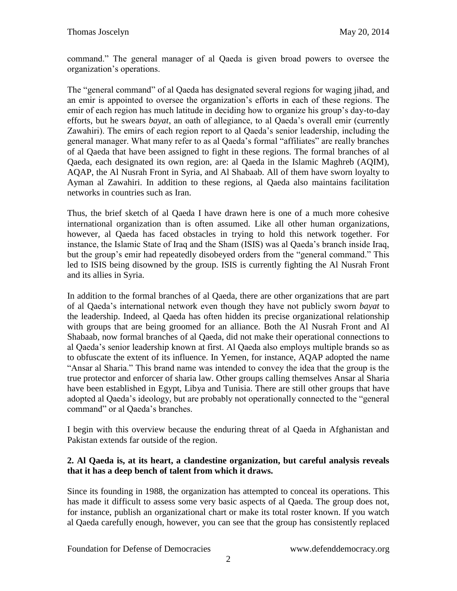command." The general manager of al Qaeda is given broad powers to oversee the organization's operations.

The "general command" of al Qaeda has designated several regions for waging jihad, and an emir is appointed to oversee the organization's efforts in each of these regions. The emir of each region has much latitude in deciding how to organize his group's day-to-day efforts, but he swears *bayat*, an oath of allegiance, to al Qaeda's overall emir (currently Zawahiri). The emirs of each region report to al Qaeda's senior leadership, including the general manager. What many refer to as al Qaeda's formal "affiliates" are really branches of al Qaeda that have been assigned to fight in these regions. The formal branches of al Qaeda, each designated its own region, are: al Qaeda in the Islamic Maghreb (AQIM), AQAP, the Al Nusrah Front in Syria, and Al Shabaab. All of them have sworn loyalty to Ayman al Zawahiri. In addition to these regions, al Qaeda also maintains facilitation networks in countries such as Iran.

Thus, the brief sketch of al Qaeda I have drawn here is one of a much more cohesive international organization than is often assumed. Like all other human organizations, however, al Qaeda has faced obstacles in trying to hold this network together. For instance, the Islamic State of Iraq and the Sham (ISIS) was al Qaeda's branch inside Iraq, but the group's emir had repeatedly disobeyed orders from the "general command." This led to ISIS being disowned by the group. ISIS is currently fighting the Al Nusrah Front and its allies in Syria.

In addition to the formal branches of al Qaeda, there are other organizations that are part of al Qaeda's international network even though they have not publicly sworn *bayat* to the leadership. Indeed, al Qaeda has often hidden its precise organizational relationship with groups that are being groomed for an alliance. Both the Al Nusrah Front and Al Shabaab, now formal branches of al Qaeda, did not make their operational connections to al Qaeda's senior leadership known at first. Al Qaeda also employs multiple brands so as to obfuscate the extent of its influence. In Yemen, for instance, AQAP adopted the name "Ansar al Sharia." This brand name was intended to convey the idea that the group is the true protector and enforcer of sharia law. Other groups calling themselves Ansar al Sharia have been established in Egypt, Libya and Tunisia. There are still other groups that have adopted al Qaeda's ideology, but are probably not operationally connected to the "general command" or al Qaeda's branches.

I begin with this overview because the enduring threat of al Qaeda in Afghanistan and Pakistan extends far outside of the region.

## **2. Al Qaeda is, at its heart, a clandestine organization, but careful analysis reveals that it has a deep bench of talent from which it draws.**

Since its founding in 1988, the organization has attempted to conceal its operations. This has made it difficult to assess some very basic aspects of al Qaeda. The group does not, for instance, publish an organizational chart or make its total roster known. If you watch al Qaeda carefully enough, however, you can see that the group has consistently replaced

Foundation for Defense of Democracies www.defenddemocracy.org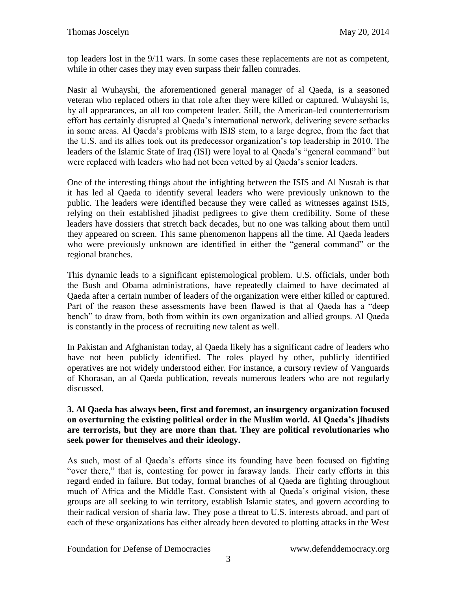top leaders lost in the 9/11 wars. In some cases these replacements are not as competent, while in other cases they may even surpass their fallen comrades.

Nasir al Wuhayshi, the aforementioned general manager of al Qaeda, is a seasoned veteran who replaced others in that role after they were killed or captured. Wuhayshi is, by all appearances, an all too competent leader. Still, the American-led counterterrorism effort has certainly disrupted al Qaeda's international network, delivering severe setbacks in some areas. Al Qaeda's problems with ISIS stem, to a large degree, from the fact that the U.S. and its allies took out its predecessor organization's top leadership in 2010. The leaders of the Islamic State of Iraq (ISI) were loyal to al Qaeda's "general command" but were replaced with leaders who had not been vetted by al Qaeda's senior leaders.

One of the interesting things about the infighting between the ISIS and Al Nusrah is that it has led al Qaeda to identify several leaders who were previously unknown to the public. The leaders were identified because they were called as witnesses against ISIS, relying on their established jihadist pedigrees to give them credibility. Some of these leaders have dossiers that stretch back decades, but no one was talking about them until they appeared on screen. This same phenomenon happens all the time. Al Qaeda leaders who were previously unknown are identified in either the "general command" or the regional branches.

This dynamic leads to a significant epistemological problem. U.S. officials, under both the Bush and Obama administrations, have repeatedly claimed to have decimated al Qaeda after a certain number of leaders of the organization were either killed or captured. Part of the reason these assessments have been flawed is that al Qaeda has a "deep bench" to draw from, both from within its own organization and allied groups. Al Qaeda is constantly in the process of recruiting new talent as well.

In Pakistan and Afghanistan today, al Qaeda likely has a significant cadre of leaders who have not been publicly identified. The roles played by other, publicly identified operatives are not widely understood either. For instance, a cursory review of Vanguards of Khorasan, an al Qaeda publication, reveals numerous leaders who are not regularly discussed.

## **3. Al Qaeda has always been, first and foremost, an insurgency organization focused on overturning the existing political order in the Muslim world. Al Qaeda's jihadists are terrorists, but they are more than that. They are political revolutionaries who seek power for themselves and their ideology.**

As such, most of al Qaeda's efforts since its founding have been focused on fighting "over there," that is, contesting for power in faraway lands. Their early efforts in this regard ended in failure. But today, formal branches of al Qaeda are fighting throughout much of Africa and the Middle East. Consistent with al Qaeda's original vision, these groups are all seeking to win territory, establish Islamic states, and govern according to their radical version of sharia law. They pose a threat to U.S. interests abroad, and part of each of these organizations has either already been devoted to plotting attacks in the West

Foundation for Defense of Democracies www.defenddemocracy.org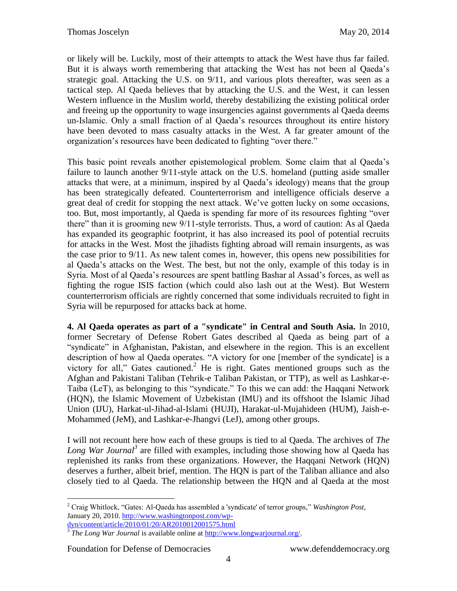or likely will be. Luckily, most of their attempts to attack the West have thus far failed. But it is always worth remembering that attacking the West has not been al Qaeda's strategic goal. Attacking the U.S. on 9/11, and various plots thereafter, was seen as a tactical step. Al Qaeda believes that by attacking the U.S. and the West, it can lessen Western influence in the Muslim world, thereby destabilizing the existing political order and freeing up the opportunity to wage insurgencies against governments al Qaeda deems un-Islamic. Only a small fraction of al Qaeda's resources throughout its entire history have been devoted to mass casualty attacks in the West. A far greater amount of the organization's resources have been dedicated to fighting "over there."

This basic point reveals another epistemological problem. Some claim that al Qaeda's failure to launch another 9/11-style attack on the U.S. homeland (putting aside smaller attacks that were, at a minimum, inspired by al Qaeda's ideology) means that the group has been strategically defeated. Counterterrorism and intelligence officials deserve a great deal of credit for stopping the next attack. We've gotten lucky on some occasions, too. But, most importantly, al Qaeda is spending far more of its resources fighting "over there" than it is grooming new 9/11-style terrorists. Thus, a word of caution: As al Qaeda has expanded its geographic footprint, it has also increased its pool of potential recruits for attacks in the West. Most the jihadists fighting abroad will remain insurgents, as was the case prior to 9/11. As new talent comes in, however, this opens new possibilities for al Qaeda's attacks on the West. The best, but not the only, example of this today is in Syria. Most of al Qaeda's resources are spent battling Bashar al Assad's forces, as well as fighting the rogue ISIS faction (which could also lash out at the West). But Western counterterrorism officials are rightly concerned that some individuals recruited to fight in Syria will be repurposed for attacks back at home.

**4. Al Qaeda operates as part of a "syndicate" in Central and South Asia.** In 2010, former Secretary of Defense Robert Gates described al Qaeda as being part of a "syndicate" in Afghanistan, Pakistan, and elsewhere in the region. This is an excellent description of how al Qaeda operates. "A victory for one [member of the syndicate] is a victory for all," Gates cautioned.<sup>2</sup> He is right. Gates mentioned groups such as the Afghan and Pakistani Taliban (Tehrik-e Taliban Pakistan, or TTP), as well as Lashkar-e-Taiba (LeT), as belonging to this "syndicate." To this we can add: the Haqqani Network (HQN), the Islamic Movement of Uzbekistan (IMU) and its offshoot the Islamic Jihad Union (IJU), Harkat-ul-Jihad-al-Islami (HUJI), Harakat-ul-Mujahideen (HUM), Jaish-e-Mohammed (JeM), and Lashkar-e-Jhangvi (LeJ), among other groups.

I will not recount here how each of these groups is tied to al Qaeda. The archives of *The*  Long War Journal<sup>3</sup> are filled with examples, including those showing how al Qaeda has replenished its ranks from these organizations. However, the Haqqani Network (HQN) deserves a further, albeit brief, mention. The HQN is part of the Taliban alliance and also closely tied to al Qaeda. The relationship between the HQN and al Qaeda at the most

Foundation for Defense of Democracies www.defenddemocracy.org

 $\overline{a}$ 

<sup>2</sup> Craig Whitlock, "Gates: Al-Qaeda has assembled a 'syndicate' of terror groups," *Washington Post*, January 20, 2010[. http://www.washingtonpost.com/wp-](http://www.washingtonpost.com/wp-dyn/content/article/2010/01/20/AR2010012001575.html)

[dyn/content/article/2010/01/20/AR2010012001575.html](http://www.washingtonpost.com/wp-dyn/content/article/2010/01/20/AR2010012001575.html) 3 *The Long War Journal* is available online at [http://www.longwarjournal.org/.](http://www.longwarjournal.org/)